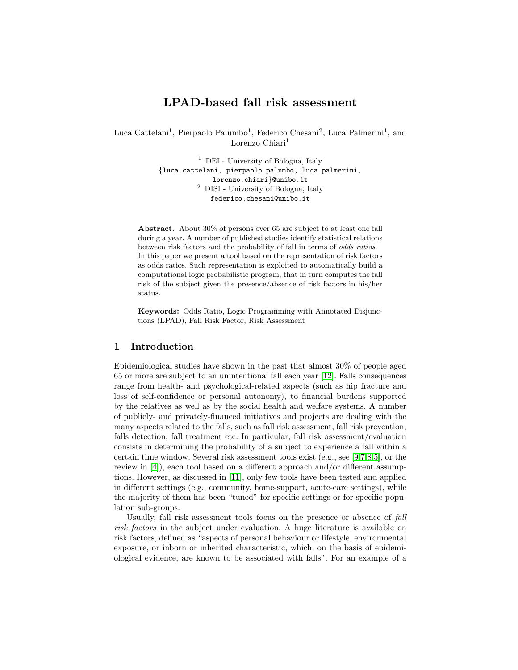# LPAD-based fall risk assessment

Luca Cattelani<sup>1</sup>, Pierpaolo Palumbo<sup>1</sup>, Federico Chesani<sup>2</sup>, Luca Palmerini<sup>1</sup>, and Lorenzo Chiari<sup>1</sup>

> <sup>1</sup> DEI - University of Bologna, Italy {luca.cattelani, pierpaolo.palumbo, luca.palmerini, lorenzo.chiari}@unibo.it  $^{\rm 2}$  DISI - University of Bologna, Italy federico.chesani@unibo.it

Abstract. About 30% of persons over 65 are subject to at least one fall during a year. A number of published studies identify statistical relations between risk factors and the probability of fall in terms of odds ratios. In this paper we present a tool based on the representation of risk factors as odds ratios. Such representation is exploited to automatically build a computational logic probabilistic program, that in turn computes the fall risk of the subject given the presence/absence of risk factors in his/her status.

Keywords: Odds Ratio, Logic Programming with Annotated Disjunctions (LPAD), Fall Risk Factor, Risk Assessment

#### 1 Introduction

Epidemiological studies have shown in the past that almost 30% of people aged 65 or more are subject to an unintentional fall each year [\[12\]](#page-5-0). Falls consequences range from health- and psychological-related aspects (such as hip fracture and loss of self-confidence or personal autonomy), to financial burdens supported by the relatives as well as by the social health and welfare systems. A number of publicly- and privately-financed initiatives and projects are dealing with the many aspects related to the falls, such as fall risk assessment, fall risk prevention, falls detection, fall treatment etc. In particular, fall risk assessment/evaluation consists in determining the probability of a subject to experience a fall within a certain time window. Several risk assessment tools exist (e.g., see [\[9,](#page-5-1)[7](#page-5-2)[,8,](#page-5-3)[5\]](#page-4-0), or the review in [\[4\]](#page-4-1)), each tool based on a different approach and/or different assumptions. However, as discussed in [\[11\]](#page-5-4), only few tools have been tested and applied in different settings (e.g., community, home-support, acute-care settings), while the majority of them has been "tuned" for specific settings or for specific population sub-groups.

Usually, fall risk assessment tools focus on the presence or absence of *fall* risk factors in the subject under evaluation. A huge literature is available on risk factors, defined as "aspects of personal behaviour or lifestyle, environmental exposure, or inborn or inherited characteristic, which, on the basis of epidemiological evidence, are known to be associated with falls". For an example of a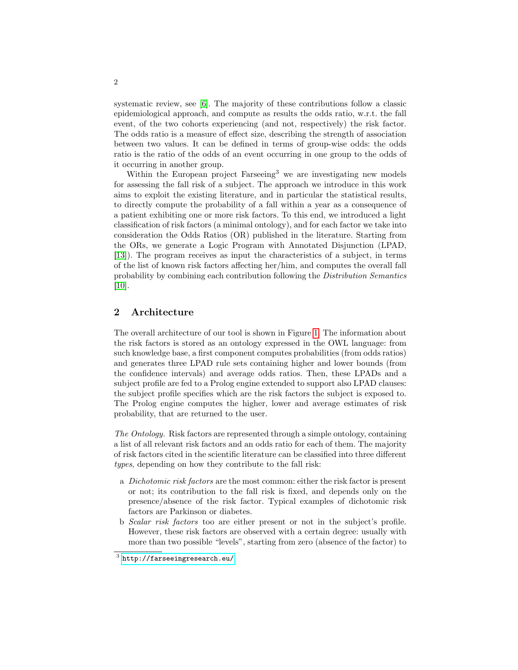systematic review, see [\[6\]](#page-5-5). The majority of these contributions follow a classic epidemiological approach, and compute as results the odds ratio, w.r.t. the fall event, of the two cohorts experiencing (and not, respectively) the risk factor. The odds ratio is a measure of effect size, describing the strength of association between two values. It can be defined in terms of group-wise odds: the odds ratio is the ratio of the odds of an event occurring in one group to the odds of it occurring in another group.

Within the European project  $F$ arseeing<sup>3</sup> we are investigating new models for assessing the fall risk of a subject. The approach we introduce in this work aims to exploit the existing literature, and in particular the statistical results, to directly compute the probability of a fall within a year as a consequence of a patient exhibiting one or more risk factors. To this end, we introduced a light classification of risk factors (a minimal ontology), and for each factor we take into consideration the Odds Ratios (OR) published in the literature. Starting from the ORs, we generate a Logic Program with Annotated Disjunction (LPAD, [\[13\]](#page-5-6)). The program receives as input the characteristics of a subject, in terms of the list of known risk factors affecting her/him, and computes the overall fall probability by combining each contribution following the Distribution Semantics [\[10\]](#page-5-7).

## 2 Architecture

The overall architecture of our tool is shown in Figure [1.](#page-2-0) The information about the risk factors is stored as an ontology expressed in the OWL language: from such knowledge base, a first component computes probabilities (from odds ratios) and generates three LPAD rule sets containing higher and lower bounds (from the confidence intervals) and average odds ratios. Then, these LPADs and a subject profile are fed to a Prolog engine extended to support also LPAD clauses: the subject profile specifies which are the risk factors the subject is exposed to. The Prolog engine computes the higher, lower and average estimates of risk probability, that are returned to the user.

The Ontology. Risk factors are represented through a simple ontology, containing a list of all relevant risk factors and an odds ratio for each of them. The majority of risk factors cited in the scientific literature can be classified into three different types, depending on how they contribute to the fall risk:

- a Dichotomic risk factors are the most common: either the risk factor is present or not; its contribution to the fall risk is fixed, and depends only on the presence/absence of the risk factor. Typical examples of dichotomic risk factors are Parkinson or diabetes.
- b Scalar risk factors too are either present or not in the subject's profile. However, these risk factors are observed with a certain degree: usually with more than two possible "levels", starting from zero (absence of the factor) to

 $^3$  <http://farseeingresearch.eu/>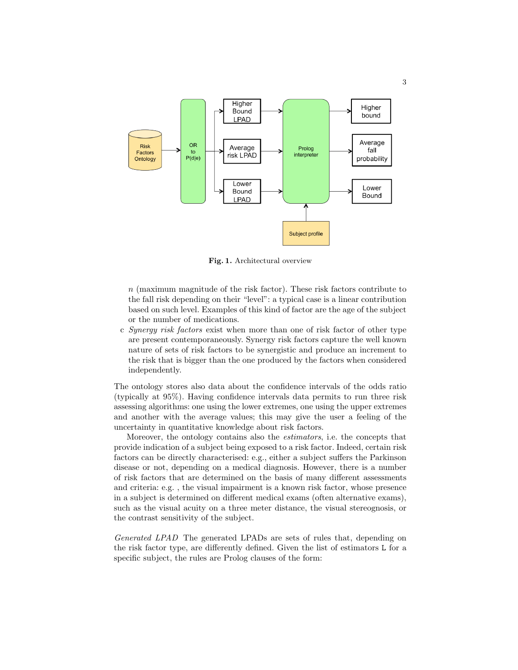

<span id="page-2-0"></span>Fig. 1. Architectural overview

n (maximum magnitude of the risk factor). These risk factors contribute to the fall risk depending on their "level": a typical case is a linear contribution based on such level. Examples of this kind of factor are the age of the subject or the number of medications.

c Synergy risk factors exist when more than one of risk factor of other type are present contemporaneously. Synergy risk factors capture the well known nature of sets of risk factors to be synergistic and produce an increment to the risk that is bigger than the one produced by the factors when considered independently.

The ontology stores also data about the confidence intervals of the odds ratio (typically at 95%). Having confidence intervals data permits to run three risk assessing algorithms: one using the lower extremes, one using the upper extremes and another with the average values; this may give the user a feeling of the uncertainty in quantitative knowledge about risk factors.

Moreover, the ontology contains also the estimators, i.e. the concepts that provide indication of a subject being exposed to a risk factor. Indeed, certain risk factors can be directly characterised: e.g., either a subject suffers the Parkinson disease or not, depending on a medical diagnosis. However, there is a number of risk factors that are determined on the basis of many different assessments and criteria: e.g. , the visual impairment is a known risk factor, whose presence in a subject is determined on different medical exams (often alternative exams), such as the visual acuity on a three meter distance, the visual stereognosis, or the contrast sensitivity of the subject.

Generated LPAD The generated LPADs are sets of rules that, depending on the risk factor type, are differently defined. Given the list of estimators L for a specific subject, the rules are Prolog clauses of the form: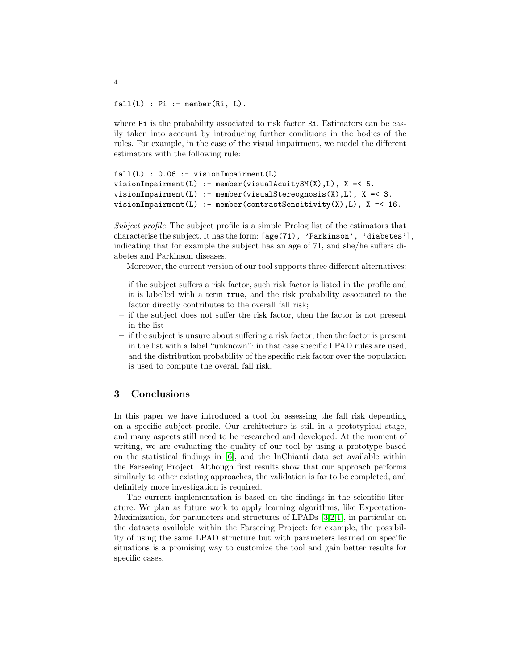$fall(L)$  : Pi : - member(Ri, L).

where Pi is the probability associated to risk factor Ri. Estimators can be easily taken into account by introducing further conditions in the bodies of the rules. For example, in the case of the visual impairment, we model the different estimators with the following rule:

```
fall(L): 0.06 : visionImpairment(L).
visionImpairment(L) :- member(visualAcuity3M(X),L), X =< 5.
visionImport(L) :- member(visualStereognosis(X), L), X = < 3.visionImpairment(L) :- member(contrastSensitivity(X), L), X =< 16.
```
Subject profile The subject profile is a simple Prolog list of the estimators that characterise the subject. It has the form: [age(71), 'Parkinson', 'diabetes'], indicating that for example the subject has an age of 71, and she/he suffers diabetes and Parkinson diseases.

Moreover, the current version of our tool supports three different alternatives:

- if the subject suffers a risk factor, such risk factor is listed in the profile and it is labelled with a term true, and the risk probability associated to the factor directly contributes to the overall fall risk;
- if the subject does not suffer the risk factor, then the factor is not present in the list
- if the subject is unsure about suffering a risk factor, then the factor is present in the list with a label "unknown": in that case specific LPAD rules are used, and the distribution probability of the specific risk factor over the population is used to compute the overall fall risk.

#### 3 Conclusions

In this paper we have introduced a tool for assessing the fall risk depending on a specific subject profile. Our architecture is still in a prototypical stage, and many aspects still need to be researched and developed. At the moment of writing, we are evaluating the quality of our tool by using a prototype based on the statistical findings in [\[6\]](#page-5-5), and the InChianti data set available within the Farseeing Project. Although first results show that our approach performs similarly to other existing approaches, the validation is far to be completed, and definitely more investigation is required.

The current implementation is based on the findings in the scientific literature. We plan as future work to apply learning algorithms, like Expectation-Maximization, for parameters and structures of LPADs [\[3,](#page-4-2)[2,](#page-4-3)[1\]](#page-4-4), in particular on the datasets available within the Farseeing Project: for example, the possibility of using the same LPAD structure but with parameters learned on specific situations is a promising way to customize the tool and gain better results for specific cases.

4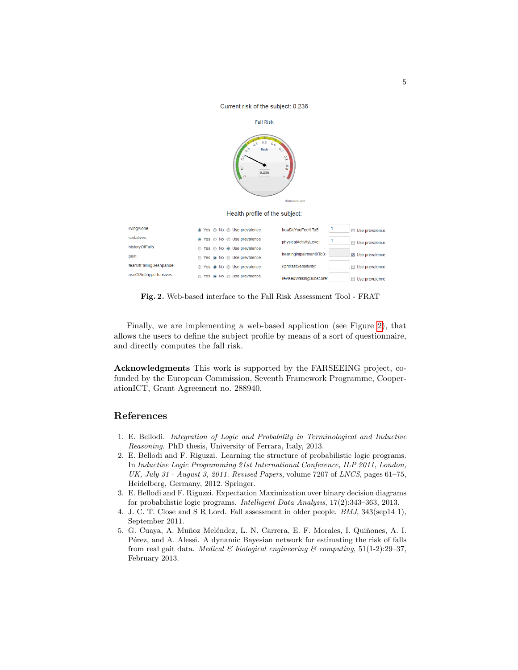

<span id="page-4-5"></span>Fig. 2. Web-based interface to the Fall Risk Assessment Tool - FRAT

Finally, we are implementing a web-based application (see Figure [2\)](#page-4-5), that allows the users to define the subject profile by means of a sort of questionnaire, and directly computes the fall risk.

Acknowledgments This work is supported by the FARSEEING project, cofunded by the European Commission, Seventh Framework Programme, CooperationICT, Grant Agreement no. 288940.

## References

- <span id="page-4-4"></span>1. E. Bellodi. Integration of Logic and Probability in Terminological and Inductive Reasoning. PhD thesis, University of Ferrara, Italy, 2013.
- <span id="page-4-3"></span>2. E. Bellodi and F. Riguzzi. Learning the structure of probabilistic logic programs. In Inductive Logic Programming 21st International Conference, ILP 2011, London, UK, July 31 - August 3, 2011. Revised Papers, volume 7207 of LNCS, pages 61–75, Heidelberg, Germany, 2012. Springer.
- <span id="page-4-2"></span>3. E. Bellodi and F. Riguzzi. Expectation Maximization over binary decision diagrams for probabilistic logic programs. Intelligent Data Analysis, 17(2):343–363, 2013.
- <span id="page-4-1"></span>4. J. C. T. Close and S R Lord. Fall assessment in older people. BMJ, 343(sep14 1), September 2011.
- <span id="page-4-0"></span>5. G. Cuaya, A. Muñoz Meléndez, L. N. Carrera, E. F. Morales, I. Quiñones, A. I. Pérez, and A. Alessi. A dynamic Bayesian network for estimating the risk of falls from real gait data. Medical & biological engineering & computing,  $51(1-2):29-37$ , February 2013.